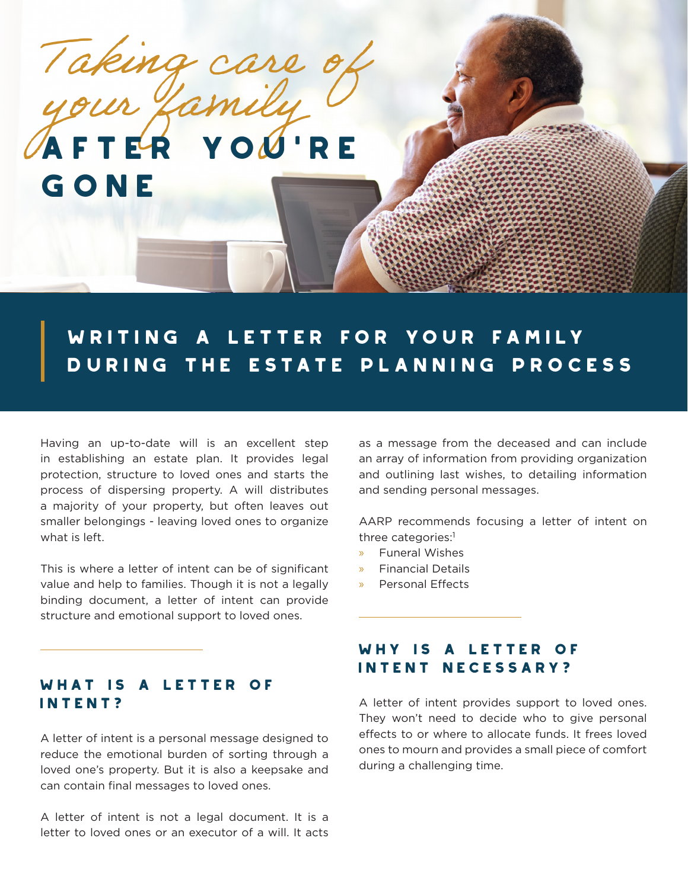

# Writing a letter for your family during the Estate Planning Process

Having an up-to-date will is an excellent step in establishing an estate plan. It provides legal protection, structure to loved ones and starts the process of dispersing property. A will distributes a majority of your property, but often leaves out smaller belongings - leaving loved ones to organize what is left.

This is where a letter of intent can be of significant value and help to families. Though it is not a legally binding document, a letter of intent can provide structure and emotional support to loved ones.

## What Is a Letter of INTENT?

A letter of intent is a personal message designed to reduce the emotional burden of sorting through a loved one's property. But it is also a keepsake and can contain final messages to loved ones.

A letter of intent is not a legal document. It is a letter to loved ones or an executor of a will. It acts as a message from the deceased and can include an array of information from providing organization and outlining last wishes, to detailing information and sending personal messages.

AARP recommends focusing a letter of intent on three categories:<sup>1</sup>

- » Funeral Wishes
- » Financial Details
- » Personal Effects

 $\overline{a}$ 

#### Why Is a Letter of Intent Necessary?

A letter of intent provides support to loved ones. They won't need to decide who to give personal effects to or where to allocate funds. It frees loved ones to mourn and provides a small piece of comfort during a challenging time.